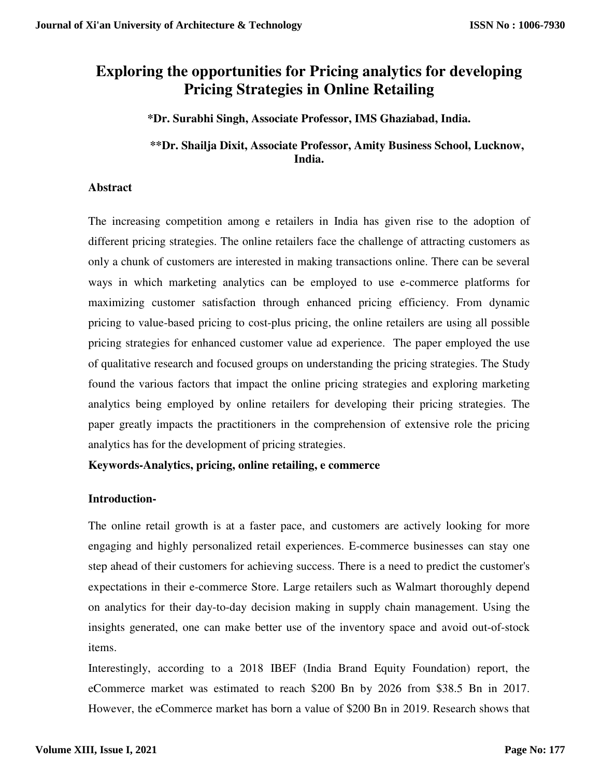# **Exploring the opportunities for Pricing analytics for developing Pricing Strategies in Online Retailing**

**\*Dr. Surabhi Singh, Associate Professor, IMS Ghaziabad, India.** 

# **\*\*Dr. Shailja Dixit, Associate Professor, Amity Business School, Lucknow, India.**

### **Abstract**

The increasing competition among e retailers in India has given rise to the adoption of different pricing strategies. The online retailers face the challenge of attracting customers as only a chunk of customers are interested in making transactions online. There can be several ways in which marketing analytics can be employed to use e-commerce platforms for maximizing customer satisfaction through enhanced pricing efficiency. From dynamic pricing to value-based pricing to cost-plus pricing, the online retailers are using all possible pricing strategies for enhanced customer value ad experience. The paper employed the use of qualitative research and focused groups on understanding the pricing strategies. The Study found the various factors that impact the online pricing strategies and exploring marketing analytics being employed by online retailers for developing their pricing strategies. The paper greatly impacts the practitioners in the comprehension of extensive role the pricing analytics has for the development of pricing strategies.

**Keywords-Analytics, pricing, online retailing, e commerce** 

### **Introduction-**

The online retail growth is at a faster pace, and customers are actively looking for more engaging and highly personalized retail experiences. E-commerce businesses can stay one step ahead of their customers for achieving success. There is a need to predict the customer's expectations in their e-commerce Store. Large retailers such as Walmart thoroughly depend on analytics for their day-to-day decision making in supply chain management. Using the insights generated, one can make better use of the inventory space and avoid out-of-stock items.

Interestingly, according to a 2018 IBEF (India Brand Equity Foundation) report, the eCommerce market was estimated to reach \$200 Bn by 2026 from \$38.5 Bn in 2017. However, the eCommerce market has born a value of \$200 Bn in 2019. Research shows that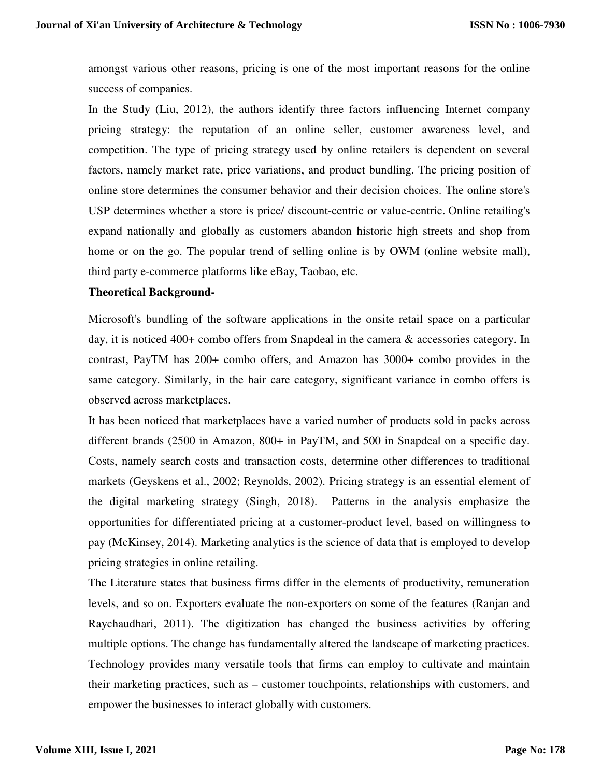amongst various other reasons, pricing is one of the most important reasons for the online success of companies.

In the Study (Liu, 2012), the authors identify three factors influencing Internet company pricing strategy: the reputation of an online seller, customer awareness level, and competition. The type of pricing strategy used by online retailers is dependent on several factors, namely market rate, price variations, and product bundling. The pricing position of online store determines the consumer behavior and their decision choices. The online store's USP determines whether a store is price/ discount-centric or value-centric. Online retailing's expand nationally and globally as customers abandon historic high streets and shop from home or on the go. The popular trend of selling online is by OWM (online website mall), third party e-commerce platforms like eBay, Taobao, etc.

### **Theoretical Background-**

Microsoft's bundling of the software applications in the onsite retail space on a particular day, it is noticed 400+ combo offers from Snapdeal in the camera & accessories category. In contrast, PayTM has 200+ combo offers, and Amazon has 3000+ combo provides in the same category. Similarly, in the hair care category, significant variance in combo offers is observed across marketplaces.

It has been noticed that marketplaces have a varied number of products sold in packs across different brands (2500 in Amazon, 800+ in PayTM, and 500 in Snapdeal on a specific day. Costs, namely search costs and transaction costs, determine other differences to traditional markets (Geyskens et al., 2002; Reynolds, 2002). Pricing strategy is an essential element of the digital marketing strategy (Singh, 2018). Patterns in the analysis emphasize the opportunities for differentiated pricing at a customer-product level, based on willingness to pay (McKinsey, 2014). Marketing analytics is the science of data that is employed to develop pricing strategies in online retailing.

The Literature states that business firms differ in the elements of productivity, remuneration levels, and so on. Exporters evaluate the non-exporters on some of the features (Ranjan and Raychaudhari, 2011). The digitization has changed the business activities by offering multiple options. The change has fundamentally altered the landscape of marketing practices. Technology provides many versatile tools that firms can employ to cultivate and maintain their marketing practices, such as – customer touchpoints, relationships with customers, and empower the businesses to interact globally with customers.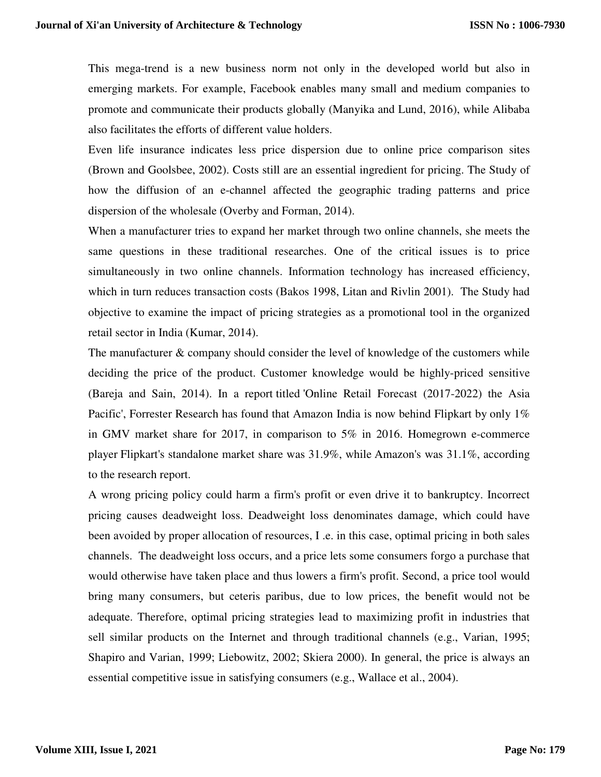This mega-trend is a new business norm not only in the developed world but also in emerging markets. For example, Facebook enables many small and medium companies to promote and communicate their products globally (Manyika and Lund, 2016), while Alibaba also facilitates the efforts of different value holders.

Even life insurance indicates less price dispersion due to online price comparison sites (Brown and Goolsbee, 2002). Costs still are an essential ingredient for pricing. The Study of how the diffusion of an e-channel affected the geographic trading patterns and price dispersion of the wholesale (Overby and Forman, 2014).

When a manufacturer tries to expand her market through two online channels, she meets the same questions in these traditional researches. One of the critical issues is to price simultaneously in two online channels. Information technology has increased efficiency, which in turn reduces transaction costs (Bakos 1998, Litan and Rivlin 2001). The Study had objective to examine the impact of pricing strategies as a promotional tool in the organized retail sector in India (Kumar, 2014).

The manufacturer & company should consider the level of knowledge of the customers while deciding the price of the product. Customer knowledge would be highly-priced sensitive (Bareja and Sain, 2014). In a report titled 'Online Retail Forecast (2017-2022) the Asia Pacific', Forrester Research has found that Amazon India is now behind Flipkart by only 1% in GMV market share for 2017, in comparison to 5% in 2016. Homegrown e-commerce player Flipkart's standalone market share was 31.9%, while Amazon's was 31.1%, according to the research report.

A wrong pricing policy could harm a firm's profit or even drive it to bankruptcy. Incorrect pricing causes deadweight loss. Deadweight loss denominates damage, which could have been avoided by proper allocation of resources, I .e. in this case, optimal pricing in both sales channels. The deadweight loss occurs, and a price lets some consumers forgo a purchase that would otherwise have taken place and thus lowers a firm's profit. Second, a price tool would bring many consumers, but ceteris paribus, due to low prices, the benefit would not be adequate. Therefore, optimal pricing strategies lead to maximizing profit in industries that sell similar products on the Internet and through traditional channels (e.g., Varian, 1995; Shapiro and Varian, 1999; Liebowitz, 2002; Skiera 2000). In general, the price is always an essential competitive issue in satisfying consumers (e.g., Wallace et al., 2004).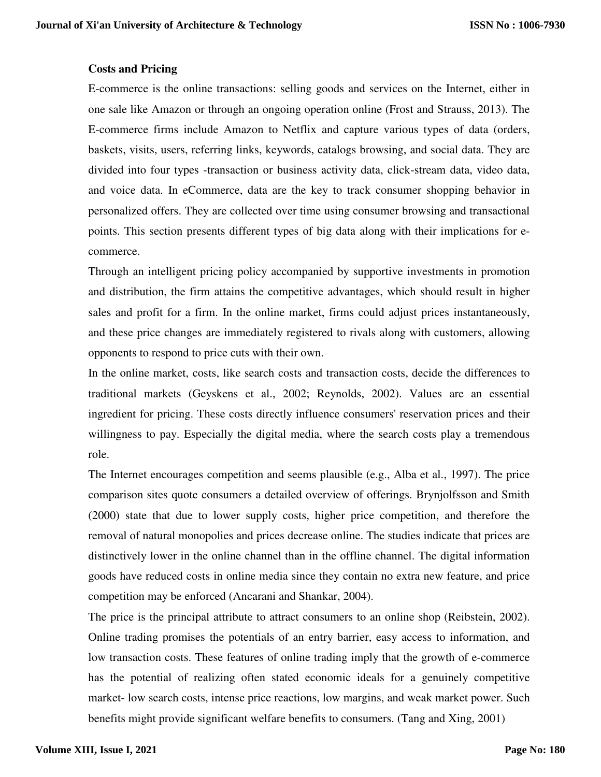### **Costs and Pricing**

E-commerce is the online transactions: selling goods and services on the Internet, either in one sale like Amazon or through an ongoing operation online (Frost and Strauss, 2013). The E-commerce firms include Amazon to Netflix and capture various types of data (orders, baskets, visits, users, referring links, keywords, catalogs browsing, and social data. They are divided into four types -transaction or business activity data, click-stream data, video data, and voice data. In eCommerce, data are the key to track consumer shopping behavior in personalized offers. They are collected over time using consumer browsing and transactional points. This section presents different types of big data along with their implications for ecommerce.

Through an intelligent pricing policy accompanied by supportive investments in promotion and distribution, the firm attains the competitive advantages, which should result in higher sales and profit for a firm. In the online market, firms could adjust prices instantaneously, and these price changes are immediately registered to rivals along with customers, allowing opponents to respond to price cuts with their own.

In the online market, costs, like search costs and transaction costs, decide the differences to traditional markets (Geyskens et al., 2002; Reynolds, 2002). Values are an essential ingredient for pricing. These costs directly influence consumers' reservation prices and their willingness to pay. Especially the digital media, where the search costs play a tremendous role.

The Internet encourages competition and seems plausible (e.g., Alba et al., 1997). The price comparison sites quote consumers a detailed overview of offerings. Brynjolfsson and Smith (2000) state that due to lower supply costs, higher price competition, and therefore the removal of natural monopolies and prices decrease online. The studies indicate that prices are distinctively lower in the online channel than in the offline channel. The digital information goods have reduced costs in online media since they contain no extra new feature, and price competition may be enforced (Ancarani and Shankar, 2004).

The price is the principal attribute to attract consumers to an online shop (Reibstein, 2002). Online trading promises the potentials of an entry barrier, easy access to information, and low transaction costs. These features of online trading imply that the growth of e-commerce has the potential of realizing often stated economic ideals for a genuinely competitive market- low search costs, intense price reactions, low margins, and weak market power. Such benefits might provide significant welfare benefits to consumers. (Tang and Xing, 2001)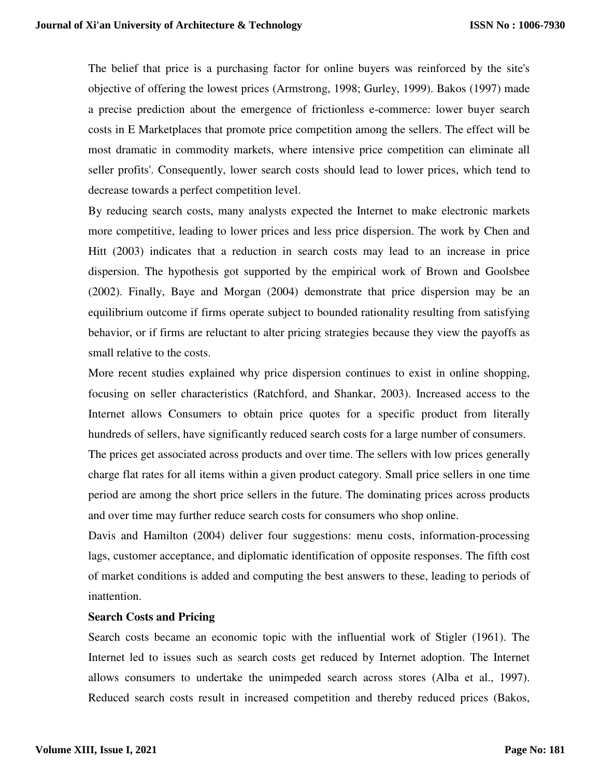The belief that price is a purchasing factor for online buyers was reinforced by the site's objective of offering the lowest prices (Armstrong, 1998; Gurley, 1999). Bakos (1997) made a precise prediction about the emergence of frictionless e-commerce: lower buyer search costs in E Marketplaces that promote price competition among the sellers. The effect will be most dramatic in commodity markets, where intensive price competition can eliminate all seller profits'. Consequently, lower search costs should lead to lower prices, which tend to decrease towards a perfect competition level.

By reducing search costs, many analysts expected the Internet to make electronic markets more competitive, leading to lower prices and less price dispersion. The work by Chen and Hitt (2003) indicates that a reduction in search costs may lead to an increase in price dispersion. The hypothesis got supported by the empirical work of Brown and Goolsbee (2002). Finally, Baye and Morgan (2004) demonstrate that price dispersion may be an equilibrium outcome if firms operate subject to bounded rationality resulting from satisfying behavior, or if firms are reluctant to alter pricing strategies because they view the payoffs as small relative to the costs.

More recent studies explained why price dispersion continues to exist in online shopping, focusing on seller characteristics (Ratchford, and Shankar, 2003). Increased access to the Internet allows Consumers to obtain price quotes for a specific product from literally hundreds of sellers, have significantly reduced search costs for a large number of consumers.

The prices get associated across products and over time. The sellers with low prices generally charge flat rates for all items within a given product category. Small price sellers in one time period are among the short price sellers in the future. The dominating prices across products and over time may further reduce search costs for consumers who shop online.

Davis and Hamilton (2004) deliver four suggestions: menu costs, information-processing lags, customer acceptance, and diplomatic identification of opposite responses. The fifth cost of market conditions is added and computing the best answers to these, leading to periods of inattention.

#### **Search Costs and Pricing**

Search costs became an economic topic with the influential work of Stigler (1961). The Internet led to issues such as search costs get reduced by Internet adoption. The Internet allows consumers to undertake the unimpeded search across stores (Alba et al., 1997). Reduced search costs result in increased competition and thereby reduced prices (Bakos,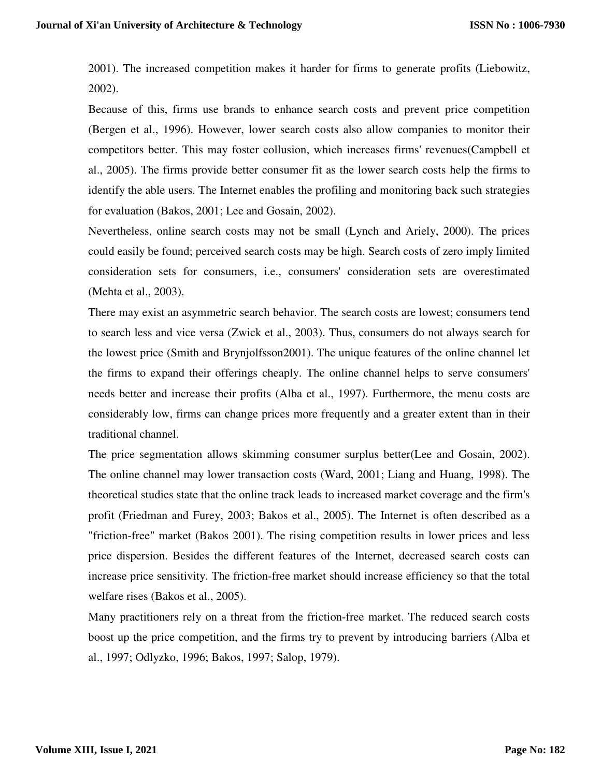2001). The increased competition makes it harder for firms to generate profits (Liebowitz, 2002).

Because of this, firms use brands to enhance search costs and prevent price competition (Bergen et al., 1996). However, lower search costs also allow companies to monitor their competitors better. This may foster collusion, which increases firms' revenues(Campbell et al., 2005). The firms provide better consumer fit as the lower search costs help the firms to identify the able users. The Internet enables the profiling and monitoring back such strategies for evaluation (Bakos, 2001; Lee and Gosain, 2002).

Nevertheless, online search costs may not be small (Lynch and Ariely, 2000). The prices could easily be found; perceived search costs may be high. Search costs of zero imply limited consideration sets for consumers, i.e., consumers' consideration sets are overestimated (Mehta et al., 2003).

There may exist an asymmetric search behavior. The search costs are lowest; consumers tend to search less and vice versa (Zwick et al., 2003). Thus, consumers do not always search for the lowest price (Smith and Brynjolfsson2001). The unique features of the online channel let the firms to expand their offerings cheaply. The online channel helps to serve consumers' needs better and increase their profits (Alba et al., 1997). Furthermore, the menu costs are considerably low, firms can change prices more frequently and a greater extent than in their traditional channel.

The price segmentation allows skimming consumer surplus better(Lee and Gosain, 2002). The online channel may lower transaction costs (Ward, 2001; Liang and Huang, 1998). The theoretical studies state that the online track leads to increased market coverage and the firm's profit (Friedman and Furey, 2003; Bakos et al., 2005). The Internet is often described as a "friction-free" market (Bakos 2001). The rising competition results in lower prices and less price dispersion. Besides the different features of the Internet, decreased search costs can increase price sensitivity. The friction-free market should increase efficiency so that the total welfare rises (Bakos et al., 2005).

Many practitioners rely on a threat from the friction-free market. The reduced search costs boost up the price competition, and the firms try to prevent by introducing barriers (Alba et al., 1997; Odlyzko, 1996; Bakos, 1997; Salop, 1979).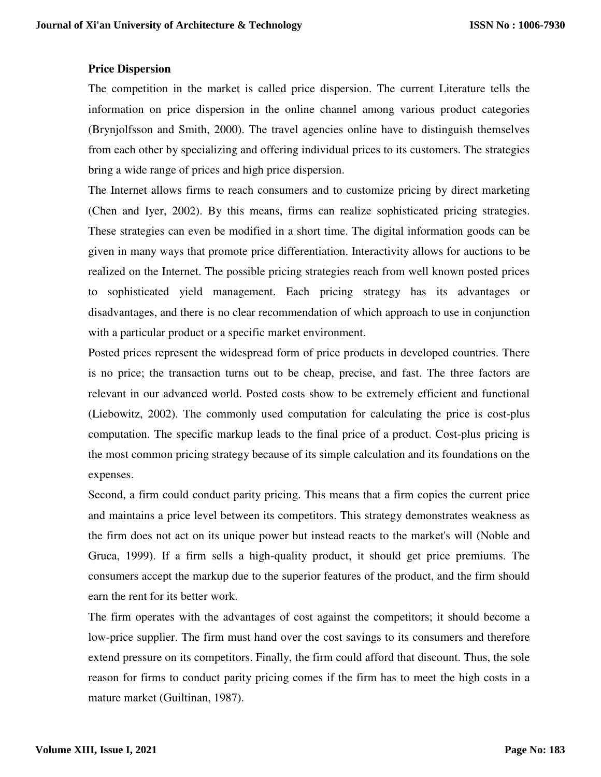### **Price Dispersion**

The competition in the market is called price dispersion. The current Literature tells the information on price dispersion in the online channel among various product categories (Brynjolfsson and Smith, 2000). The travel agencies online have to distinguish themselves from each other by specializing and offering individual prices to its customers. The strategies bring a wide range of prices and high price dispersion.

The Internet allows firms to reach consumers and to customize pricing by direct marketing (Chen and Iyer, 2002). By this means, firms can realize sophisticated pricing strategies. These strategies can even be modified in a short time. The digital information goods can be given in many ways that promote price differentiation. Interactivity allows for auctions to be realized on the Internet. The possible pricing strategies reach from well known posted prices to sophisticated yield management. Each pricing strategy has its advantages or disadvantages, and there is no clear recommendation of which approach to use in conjunction with a particular product or a specific market environment.

Posted prices represent the widespread form of price products in developed countries. There is no price; the transaction turns out to be cheap, precise, and fast. The three factors are relevant in our advanced world. Posted costs show to be extremely efficient and functional (Liebowitz, 2002). The commonly used computation for calculating the price is cost-plus computation. The specific markup leads to the final price of a product. Cost-plus pricing is the most common pricing strategy because of its simple calculation and its foundations on the expenses.

Second, a firm could conduct parity pricing. This means that a firm copies the current price and maintains a price level between its competitors. This strategy demonstrates weakness as the firm does not act on its unique power but instead reacts to the market's will (Noble and Gruca, 1999). If a firm sells a high-quality product, it should get price premiums. The consumers accept the markup due to the superior features of the product, and the firm should earn the rent for its better work.

The firm operates with the advantages of cost against the competitors; it should become a low-price supplier. The firm must hand over the cost savings to its consumers and therefore extend pressure on its competitors. Finally, the firm could afford that discount. Thus, the sole reason for firms to conduct parity pricing comes if the firm has to meet the high costs in a mature market (Guiltinan, 1987).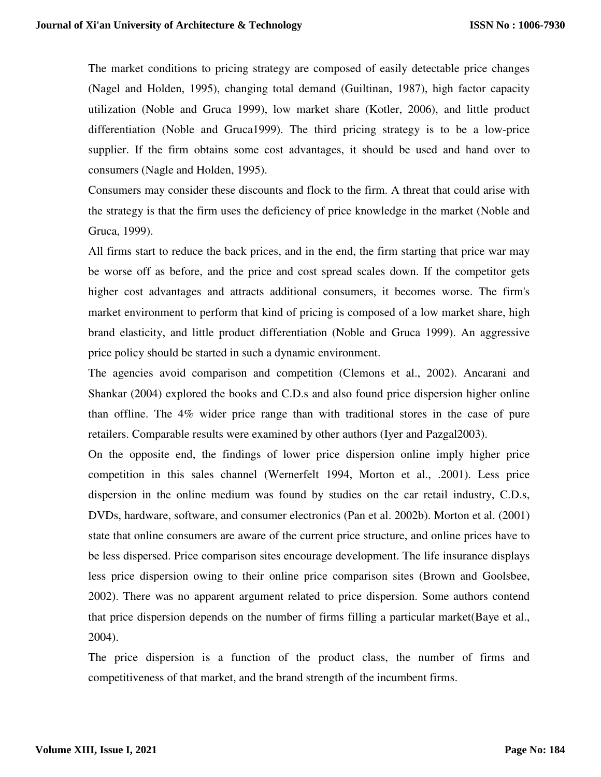The market conditions to pricing strategy are composed of easily detectable price changes (Nagel and Holden, 1995), changing total demand (Guiltinan, 1987), high factor capacity utilization (Noble and Gruca 1999), low market share (Kotler, 2006), and little product differentiation (Noble and Gruca1999). The third pricing strategy is to be a low-price supplier. If the firm obtains some cost advantages, it should be used and hand over to consumers (Nagle and Holden, 1995).

Consumers may consider these discounts and flock to the firm. A threat that could arise with the strategy is that the firm uses the deficiency of price knowledge in the market (Noble and Gruca, 1999).

All firms start to reduce the back prices, and in the end, the firm starting that price war may be worse off as before, and the price and cost spread scales down. If the competitor gets higher cost advantages and attracts additional consumers, it becomes worse. The firm's market environment to perform that kind of pricing is composed of a low market share, high brand elasticity, and little product differentiation (Noble and Gruca 1999). An aggressive price policy should be started in such a dynamic environment.

The agencies avoid comparison and competition (Clemons et al., 2002). Ancarani and Shankar (2004) explored the books and C.D.s and also found price dispersion higher online than offline. The 4% wider price range than with traditional stores in the case of pure retailers. Comparable results were examined by other authors (Iyer and Pazgal2003).

On the opposite end, the findings of lower price dispersion online imply higher price competition in this sales channel (Wernerfelt 1994, Morton et al., .2001). Less price dispersion in the online medium was found by studies on the car retail industry, C.D.s, DVDs, hardware, software, and consumer electronics (Pan et al. 2002b). Morton et al. (2001) state that online consumers are aware of the current price structure, and online prices have to be less dispersed. Price comparison sites encourage development. The life insurance displays less price dispersion owing to their online price comparison sites (Brown and Goolsbee, 2002). There was no apparent argument related to price dispersion. Some authors contend that price dispersion depends on the number of firms filling a particular market(Baye et al., 2004).

The price dispersion is a function of the product class, the number of firms and competitiveness of that market, and the brand strength of the incumbent firms.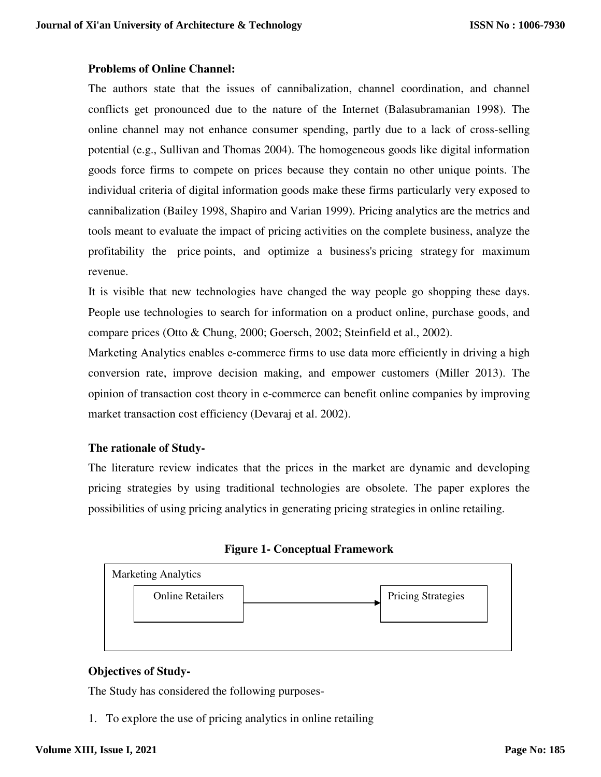### **Problems of Online Channel:**

The authors state that the issues of cannibalization, channel coordination, and channel conflicts get pronounced due to the nature of the Internet (Balasubramanian 1998). The online channel may not enhance consumer spending, partly due to a lack of cross-selling potential (e.g., Sullivan and Thomas 2004). The homogeneous goods like digital information goods force firms to compete on prices because they contain no other unique points. The individual criteria of digital information goods make these firms particularly very exposed to cannibalization (Bailey 1998, Shapiro and Varian 1999). Pricing analytics are the metrics and tools meant to evaluate the impact of pricing activities on the complete business, analyze the profitability the price points, and optimize a business's pricing strategy for maximum revenue.

It is visible that new technologies have changed the way people go shopping these days. People use technologies to search for information on a product online, purchase goods, and compare prices (Otto & Chung, 2000; Goersch, 2002; Steinfield et al., 2002).

Marketing Analytics enables e-commerce firms to use data more efficiently in driving a high conversion rate, improve decision making, and empower customers (Miller 2013). The opinion of transaction cost theory in e-commerce can benefit online companies by improving market transaction cost efficiency (Devaraj et al. 2002).

## **The rationale of Study-**

The literature review indicates that the prices in the market are dynamic and developing pricing strategies by using traditional technologies are obsolete. The paper explores the possibilities of using pricing analytics in generating pricing strategies in online retailing.





## **Objectives of Study-**

The Study has considered the following purposes-

1. To explore the use of pricing analytics in online retailing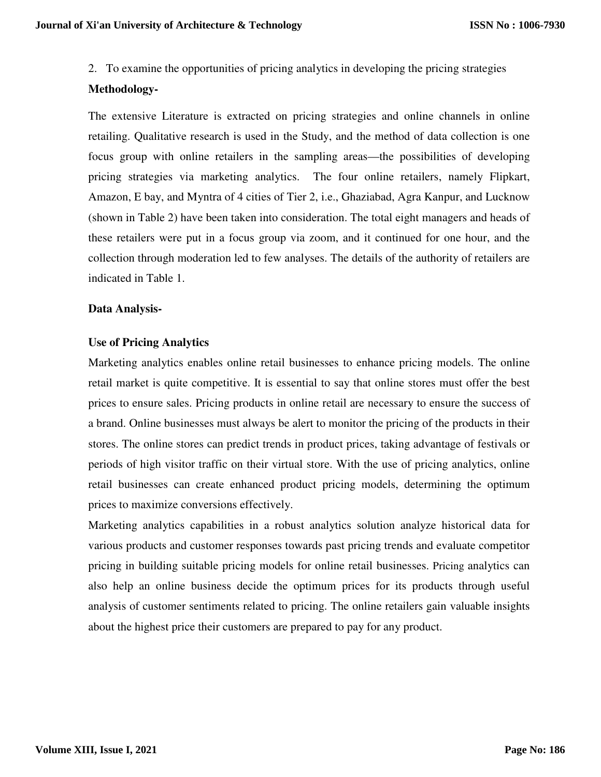2. To examine the opportunities of pricing analytics in developing the pricing strategies

### **Methodology-**

The extensive Literature is extracted on pricing strategies and online channels in online retailing. Qualitative research is used in the Study, and the method of data collection is one focus group with online retailers in the sampling areas—the possibilities of developing pricing strategies via marketing analytics. The four online retailers, namely Flipkart, Amazon, E bay, and Myntra of 4 cities of Tier 2, i.e., Ghaziabad, Agra Kanpur, and Lucknow (shown in Table 2) have been taken into consideration. The total eight managers and heads of these retailers were put in a focus group via zoom, and it continued for one hour, and the collection through moderation led to few analyses. The details of the authority of retailers are indicated in Table 1.

### **Data Analysis-**

### **Use of Pricing Analytics**

Marketing analytics enables online retail businesses to enhance pricing models. The online retail market is quite competitive. It is essential to say that online stores must offer the best prices to ensure sales. Pricing products in online retail are necessary to ensure the success of a brand. Online businesses must always be alert to monitor the pricing of the products in their stores. The online stores can predict trends in product prices, taking advantage of festivals or periods of high visitor traffic on their virtual store. With the use of pricing analytics, online retail businesses can create enhanced product pricing models, determining the optimum prices to maximize conversions effectively.

Marketing analytics capabilities in a robust analytics solution analyze historical data for various products and customer responses towards past pricing trends and evaluate competitor pricing in building suitable pricing models for online retail businesses. Pricing analytics can also help an online business decide the optimum prices for its products through useful analysis of customer sentiments related to pricing. The online retailers gain valuable insights about the highest price their customers are prepared to pay for any product.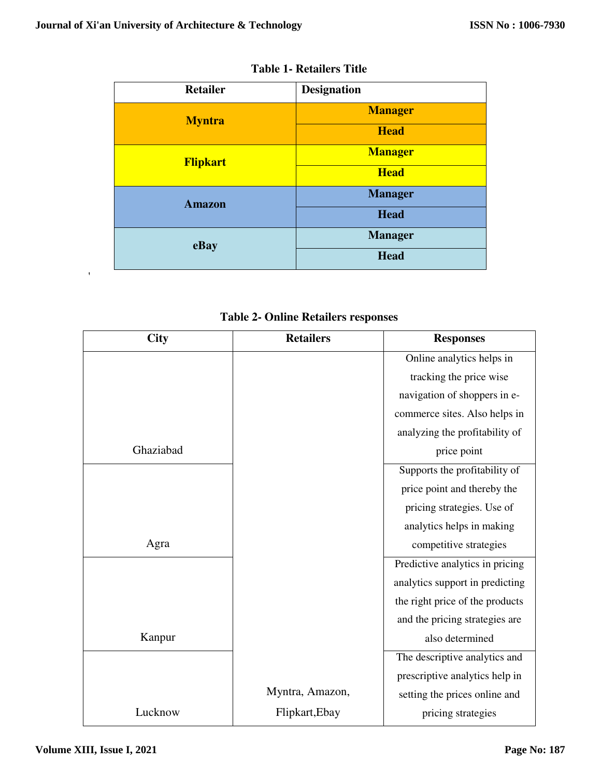| <b>Retailer</b> | <b>Designation</b> |
|-----------------|--------------------|
| <b>Myntra</b>   | <b>Manager</b>     |
|                 | <b>Head</b>        |
| <b>Flipkart</b> | <b>Manager</b>     |
|                 | <b>Head</b>        |
| <b>Amazon</b>   | <b>Manager</b>     |
|                 | <b>Head</b>        |
| eBay            | <b>Manager</b>     |
|                 | <b>Head</b>        |

| <b>Table 1- Retailers Title</b> |  |  |  |
|---------------------------------|--|--|--|
|---------------------------------|--|--|--|

|  |  |  | <b>Table 2- Online Retailers responses</b> |
|--|--|--|--------------------------------------------|
|--|--|--|--------------------------------------------|

| <b>City</b> | <b>Retailers</b> | <b>Responses</b>                |
|-------------|------------------|---------------------------------|
|             |                  | Online analytics helps in       |
|             |                  | tracking the price wise         |
|             |                  | navigation of shoppers in e-    |
|             |                  | commerce sites. Also helps in   |
|             |                  | analyzing the profitability of  |
| Ghaziabad   |                  | price point                     |
|             |                  | Supports the profitability of   |
|             |                  | price point and thereby the     |
|             |                  | pricing strategies. Use of      |
|             |                  | analytics helps in making       |
| Agra        |                  | competitive strategies          |
|             |                  | Predictive analytics in pricing |
|             |                  | analytics support in predicting |
|             |                  | the right price of the products |
|             |                  | and the pricing strategies are  |
| Kanpur      |                  | also determined                 |
|             |                  | The descriptive analytics and   |
|             |                  | prescriptive analytics help in  |
|             | Myntra, Amazon,  | setting the prices online and   |
| Lucknow     | Flipkart, Ebay   | pricing strategies              |

'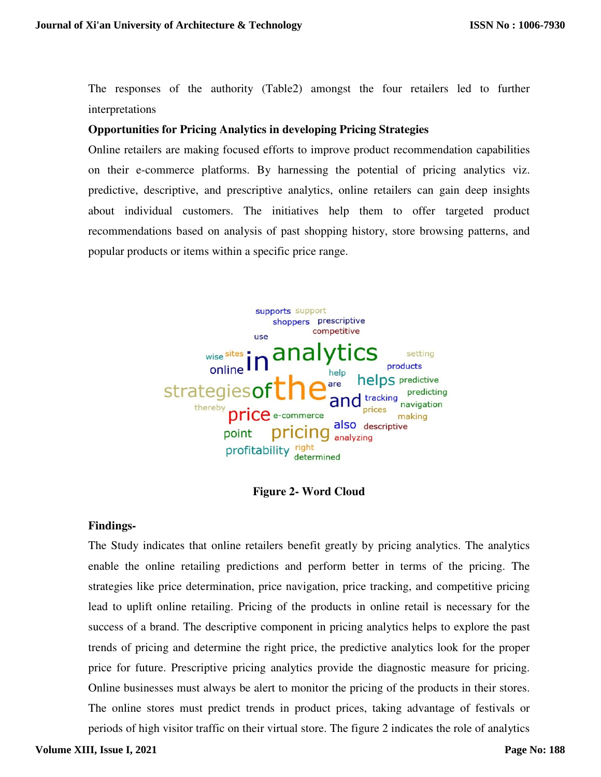The responses of the authority (Table2) amongst the four retailers led to further interpretations

### **Opportunities for Pricing Analytics in developing Pricing Strategies**

Online retailers are making focused efforts to improve product recommendation capabilities on their e-commerce platforms. By harnessing the potential of pricing analytics viz. predictive, descriptive, and prescriptive analytics, online retailers can gain deep insights about individual customers. The initiatives help them to offer targeted product recommendations based on analysis of past shopping history, store browsing patterns, and popular products or items within a specific price range.



**Figure 2- Word Cloud** 

#### **Findings-**

The Study indicates that online retailers benefit greatly by pricing analytics. The analytics enable the online retailing predictions and perform better in terms of the pricing. The strategies like price determination, price navigation, price tracking, and competitive pricing lead to uplift online retailing. Pricing of the products in online retail is necessary for the success of a brand. The descriptive component in pricing analytics helps to explore the past trends of pricing and determine the right price, the predictive analytics look for the proper price for future. Prescriptive pricing analytics provide the diagnostic measure for pricing. Online businesses must always be alert to monitor the pricing of the products in their stores. The online stores must predict trends in product prices, taking advantage of festivals or periods of high visitor traffic on their virtual store. The figure 2 indicates the role of analytics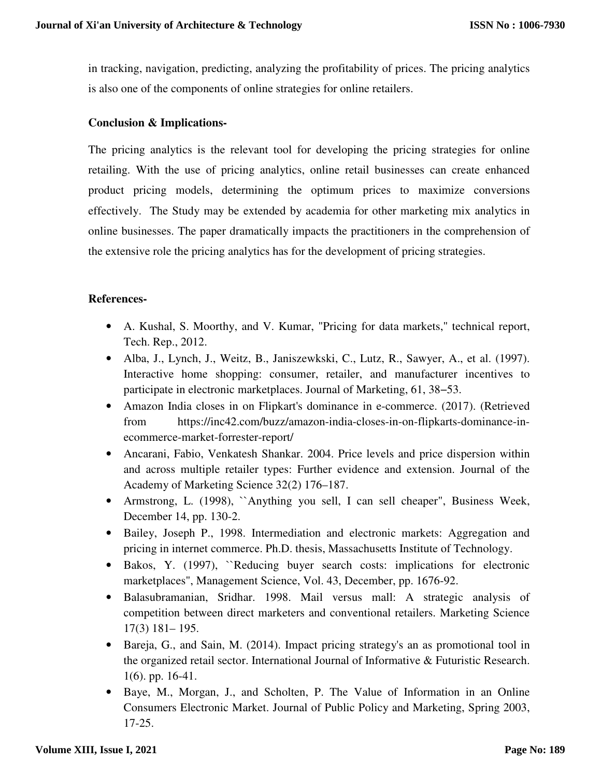in tracking, navigation, predicting, analyzing the profitability of prices. The pricing analytics is also one of the components of online strategies for online retailers.

### **Conclusion & Implications-**

The pricing analytics is the relevant tool for developing the pricing strategies for online retailing. With the use of pricing analytics, online retail businesses can create enhanced product pricing models, determining the optimum prices to maximize conversions effectively. The Study may be extended by academia for other marketing mix analytics in online businesses. The paper dramatically impacts the practitioners in the comprehension of the extensive role the pricing analytics has for the development of pricing strategies.

### **References-**

- A. Kushal, S. Moorthy, and V. Kumar, "Pricing for data markets," technical report, Tech. Rep., 2012.
- Alba, J., Lynch, J., Weitz, B., Janiszewkski, C., Lutz, R., Sawyer, A., et al. (1997). Interactive home shopping: consumer, retailer, and manufacturer incentives to participate in electronic marketplaces. Journal of Marketing, 61, 38−53.
- Amazon India closes in on Flipkart's dominance in e-commerce. (2017). (Retrieved from https://inc42.com/buzz/amazon-india-closes-in-on-flipkarts-dominance-inecommerce-market-forrester-report/
- Ancarani, Fabio, Venkatesh Shankar. 2004. Price levels and price dispersion within and across multiple retailer types: Further evidence and extension. Journal of the Academy of Marketing Science 32(2) 176–187.
- Armstrong, L. (1998), ``Anything you sell, I can sell cheaper", Business Week, December 14, pp. 130-2.
- Bailey, Joseph P., 1998. Intermediation and electronic markets: Aggregation and pricing in internet commerce. Ph.D. thesis, Massachusetts Institute of Technology.
- Bakos, Y. (1997), ``Reducing buyer search costs: implications for electronic marketplaces", Management Science, Vol. 43, December, pp. 1676-92.
- Balasubramanian, Sridhar. 1998. Mail versus mall: A strategic analysis of competition between direct marketers and conventional retailers. Marketing Science 17(3) 181– 195.
- Bareja, G., and Sain, M. (2014). Impact pricing strategy's an as promotional tool in the organized retail sector. International Journal of Informative & Futuristic Research. 1(6). pp. 16-41.
- Baye, M., Morgan, J., and Scholten, P. The Value of Information in an Online Consumers Electronic Market. Journal of Public Policy and Marketing, Spring 2003, 17-25.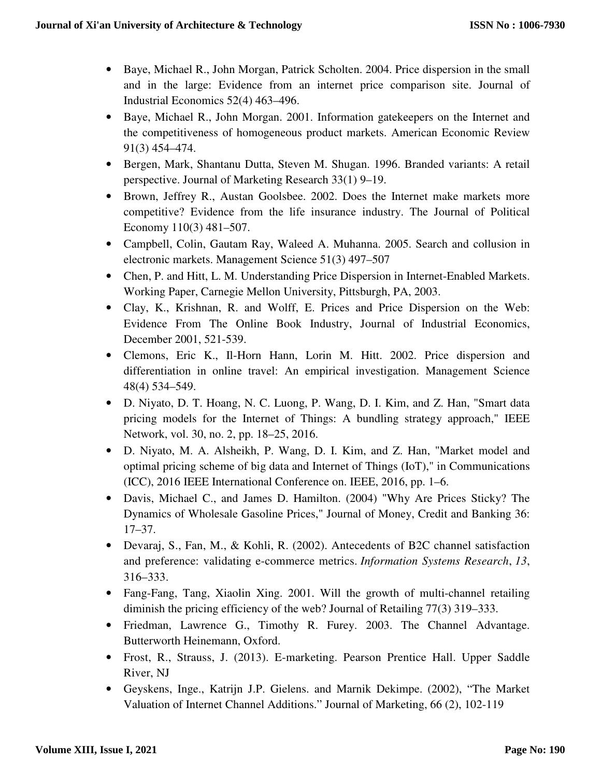- Baye, Michael R., John Morgan, Patrick Scholten. 2004. Price dispersion in the small and in the large: Evidence from an internet price comparison site. Journal of Industrial Economics 52(4) 463–496.
- Baye, Michael R., John Morgan. 2001. Information gatekeepers on the Internet and the competitiveness of homogeneous product markets. American Economic Review 91(3) 454–474.
- Bergen, Mark, Shantanu Dutta, Steven M. Shugan. 1996. Branded variants: A retail perspective. Journal of Marketing Research 33(1) 9–19.
- Brown, Jeffrey R., Austan Goolsbee. 2002. Does the Internet make markets more competitive? Evidence from the life insurance industry. The Journal of Political Economy 110(3) 481–507.
- Campbell, Colin, Gautam Ray, Waleed A. Muhanna. 2005. Search and collusion in electronic markets. Management Science 51(3) 497–507
- Chen, P. and Hitt, L. M. Understanding Price Dispersion in Internet-Enabled Markets. Working Paper, Carnegie Mellon University, Pittsburgh, PA, 2003.
- Clay, K., Krishnan, R. and Wolff, E. Prices and Price Dispersion on the Web: Evidence From The Online Book Industry, Journal of Industrial Economics, December 2001, 521-539.
- Clemons, Eric K., Il-Horn Hann, Lorin M. Hitt. 2002. Price dispersion and differentiation in online travel: An empirical investigation. Management Science 48(4) 534–549.
- D. Niyato, D. T. Hoang, N. C. Luong, P. Wang, D. I. Kim, and Z. Han, "Smart data pricing models for the Internet of Things: A bundling strategy approach," IEEE Network, vol. 30, no. 2, pp. 18–25, 2016.
- D. Niyato, M. A. Alsheikh, P. Wang, D. I. Kim, and Z. Han, "Market model and optimal pricing scheme of big data and Internet of Things (IoT)," in Communications (ICC), 2016 IEEE International Conference on. IEEE, 2016, pp. 1–6.
- Davis, Michael C., and James D. Hamilton. (2004) "Why Are Prices Sticky? The Dynamics of Wholesale Gasoline Prices," Journal of Money, Credit and Banking 36: 17–37.
- Devaraj, S., Fan, M., & Kohli, R. (2002). Antecedents of B2C channel satisfaction and preference: validating e-commerce metrics. *Information Systems Research*, *13*, 316–333.
- Fang-Fang, Tang, Xiaolin Xing. 2001. Will the growth of multi-channel retailing diminish the pricing efficiency of the web? Journal of Retailing 77(3) 319–333.
- Friedman, Lawrence G., Timothy R. Furey. 2003. The Channel Advantage. Butterworth Heinemann, Oxford.
- Frost, R., Strauss, J. (2013). E-marketing. Pearson Prentice Hall. Upper Saddle River, NJ
- Geyskens, Inge., Katrijn J.P. Gielens. and Marnik Dekimpe. (2002), "The Market Valuation of Internet Channel Additions." Journal of Marketing, 66 (2), 102-119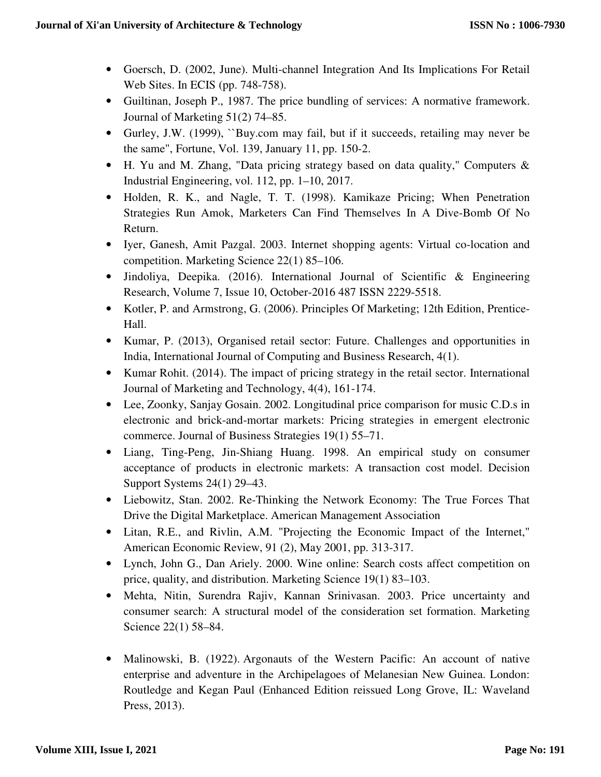- Goersch, D. (2002, June). Multi-channel Integration And Its Implications For Retail Web Sites. In ECIS (pp. 748-758).
- Guiltinan, Joseph P., 1987. The price bundling of services: A normative framework. Journal of Marketing 51(2) 74–85.
- Gurley, J.W. (1999), ``Buy.com may fail, but if it succeeds, retailing may never be the same", Fortune, Vol. 139, January 11, pp. 150-2.
- H. Yu and M. Zhang, "Data pricing strategy based on data quality," Computers & Industrial Engineering, vol. 112, pp. 1–10, 2017.
- Holden, R. K., and Nagle, T. T. (1998). Kamikaze Pricing; When Penetration Strategies Run Amok, Marketers Can Find Themselves In A Dive-Bomb Of No Return.
- Iyer, Ganesh, Amit Pazgal. 2003. Internet shopping agents: Virtual co-location and competition. Marketing Science 22(1) 85–106.
- Jindoliya, Deepika. (2016). International Journal of Scientific & Engineering Research, Volume 7, Issue 10, October-2016 487 ISSN 2229-5518.
- Kotler, P. and Armstrong, G. (2006). Principles Of Marketing; 12th Edition, Prentice-Hall.
- Kumar, P. (2013), Organised retail sector: Future. Challenges and opportunities in India, International Journal of Computing and Business Research, 4(1).
- Kumar Rohit. (2014). The impact of pricing strategy in the retail sector. International Journal of Marketing and Technology, 4(4), 161-174.
- Lee, Zoonky, Sanjay Gosain. 2002. Longitudinal price comparison for music C.D.s in electronic and brick-and-mortar markets: Pricing strategies in emergent electronic commerce. Journal of Business Strategies 19(1) 55–71.
- Liang, Ting-Peng, Jin-Shiang Huang. 1998. An empirical study on consumer acceptance of products in electronic markets: A transaction cost model. Decision Support Systems 24(1) 29–43.
- Liebowitz, Stan. 2002. Re-Thinking the Network Economy: The True Forces That Drive the Digital Marketplace. American Management Association
- Litan, R.E., and Rivlin, A.M. "Projecting the Economic Impact of the Internet," American Economic Review, 91 (2), May 2001, pp. 313-317.
- Lynch, John G., Dan Ariely. 2000. Wine online: Search costs affect competition on price, quality, and distribution. Marketing Science 19(1) 83–103.
- Mehta, Nitin, Surendra Rajiv, Kannan Srinivasan. 2003. Price uncertainty and consumer search: A structural model of the consideration set formation. Marketing Science 22(1) 58–84.
- Malinowski, B. (1922). Argonauts of the Western Pacific: An account of native enterprise and adventure in the Archipelagoes of Melanesian New Guinea. London: Routledge and Kegan Paul (Enhanced Edition reissued Long Grove, IL: Waveland Press, 2013).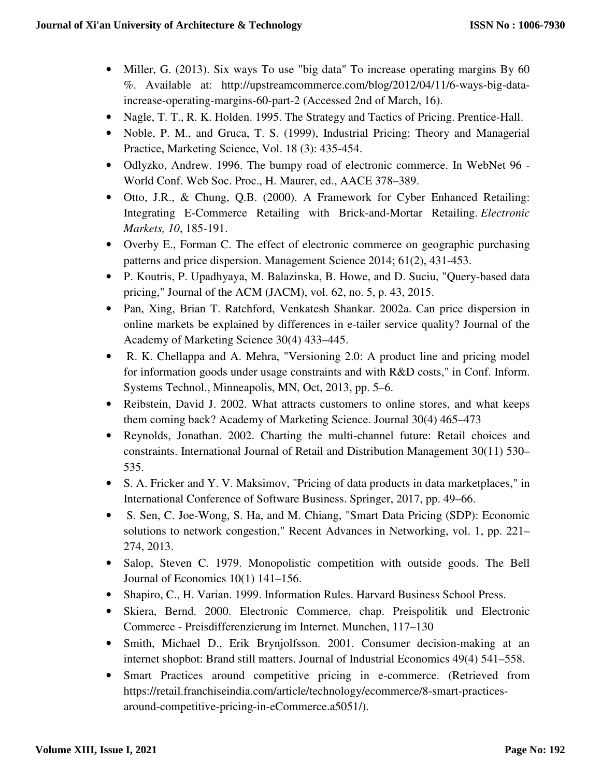- Miller, G. (2013). Six ways To use "big data" To increase operating margins By 60 %. Available at: http://upstreamcommerce.com/blog/2012/04/11/6-ways-big-dataincrease-operating-margins-60-part-2 (Accessed 2nd of March, 16).
- Nagle, T. T., R. K. Holden. 1995. The Strategy and Tactics of Pricing. Prentice-Hall.
- Noble, P. M., and Gruca, T. S. (1999), Industrial Pricing: Theory and Managerial Practice, Marketing Science, Vol. 18 (3): 435-454.
- Odlyzko, Andrew. 1996. The bumpy road of electronic commerce. In WebNet 96 World Conf. Web Soc. Proc., H. Maurer, ed., AACE 378–389.
- Otto, J.R., & Chung, Q.B. (2000). A Framework for Cyber Enhanced Retailing: Integrating E-Commerce Retailing with Brick-and-Mortar Retailing. *Electronic Markets, 10*, 185-191.
- Overby E., Forman C. The effect of electronic commerce on geographic purchasing patterns and price dispersion. Management Science 2014; 61(2), 431-453.
- P. Koutris, P. Upadhyaya, M. Balazinska, B. Howe, and D. Suciu, "Query-based data pricing," Journal of the ACM (JACM), vol. 62, no. 5, p. 43, 2015.
- Pan, Xing, Brian T. Ratchford, Venkatesh Shankar. 2002a. Can price dispersion in online markets be explained by differences in e-tailer service quality? Journal of the Academy of Marketing Science 30(4) 433–445.
- R. K. Chellappa and A. Mehra, "Versioning 2.0: A product line and pricing model for information goods under usage constraints and with R&D costs," in Conf. Inform. Systems Technol., Minneapolis, MN, Oct, 2013, pp. 5–6.
- Reibstein, David J. 2002. What attracts customers to online stores, and what keeps them coming back? Academy of Marketing Science. Journal 30(4) 465–473
- Reynolds, Jonathan. 2002. Charting the multi-channel future: Retail choices and constraints. International Journal of Retail and Distribution Management 30(11) 530– 535.
- S. A. Fricker and Y. V. Maksimov, "Pricing of data products in data marketplaces," in International Conference of Software Business. Springer, 2017, pp. 49–66.
- S. Sen, C. Joe-Wong, S. Ha, and M. Chiang, "Smart Data Pricing (SDP): Economic solutions to network congestion," Recent Advances in Networking, vol. 1, pp. 221– 274, 2013.
- Salop, Steven C. 1979. Monopolistic competition with outside goods. The Bell Journal of Economics 10(1) 141–156.
- Shapiro, C., H. Varian. 1999. Information Rules. Harvard Business School Press.
- Skiera, Bernd. 2000. Electronic Commerce, chap. Preispolitik und Electronic Commerce - Preisdifferenzierung im Internet. Munchen, 117–130
- Smith, Michael D., Erik Brynjolfsson. 2001. Consumer decision-making at an internet shopbot: Brand still matters. Journal of Industrial Economics 49(4) 541–558.
- Smart Practices around competitive pricing in e-commerce. (Retrieved from https://retail.franchiseindia.com/article/technology/ecommerce/8-smart-practicesaround-competitive-pricing-in-eCommerce.a5051/).